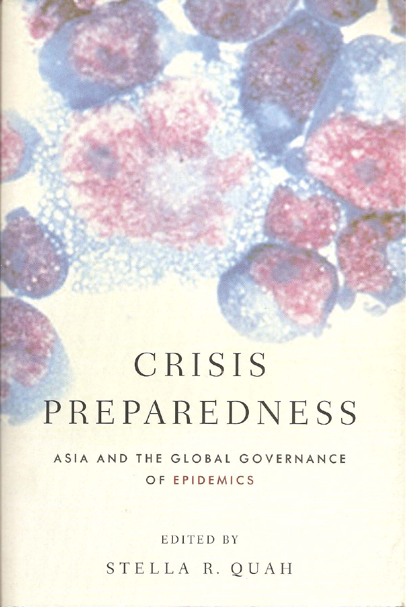# CRISIS PREPAREDNESS

ASIA AND THE GLOBAL GOVERNANCE OF EPIDEMICS

EDITED BY

STELLA R. QUAH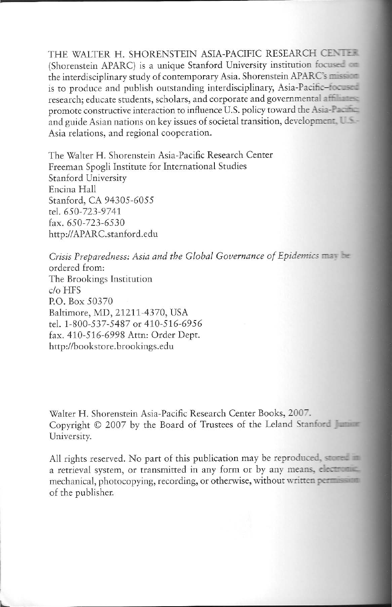THE WALTER H. SHORENSTEIN ASIA-PACIFIC RESEARCH CENTER (Shorenstein APARC) is a unique Stanford University institution focused on the interdisciplinary study of contemporary Asia. Shorenstein APARC's mission is to produce and publish outstanding interdisciplinary, Asia-Pacific-focused research; educate students, scholars, and corporate and governmental affiliation promote constructive interaction to influence U.S. policy toward the Asia-Party and guide Asian nations on key issues of societal transition, development. U.S.-Asia relations, and regional cooperation.

The Walter H. Shorenstein Asia-Pacific Research Center Freeman Spogli Institute for International Studies Stanford University Encina Hall Stanford, CA 94305-6055 tel. 650-723-9741 fax, 650-723-6530 http://APARC.stanford.edu

Crisis Preparedness: Asia and the Global Governance of Epidemics may be ordered from: The Brookings Institution  $c/\sigma$  HFS P.O. Box 50370 Baltimore, MD, 21211-4370, USA tel. 1-800-537-5487 or 410-516-6956 fax. 410-516-6998 Attn: Order Dept. http://bookstore.brookings.edu

Walter H. Shorenstein Asia-Pacific Research Center Books, 2007. Copyright © 2007 by the Board of Trustees of the Leland Stanford University.

All rights reserved. No part of this publication may be reproduced, stored in a retrieval system, or transmitted in any form or by any means, electronic mechanical, photocopying, recording, or otherwise, without written personal of the publisher.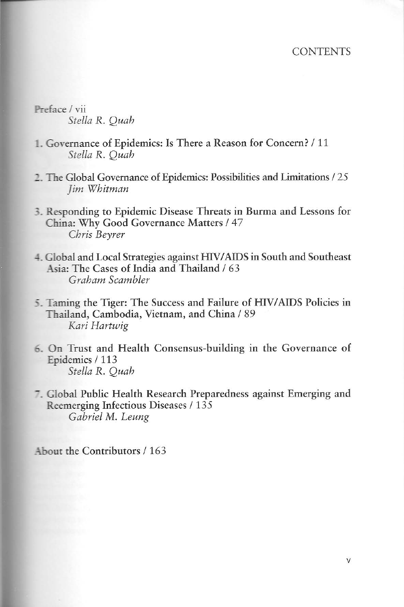Preface / vii Stella R. Quah

- 1. Governance of Epidemics: Is There a Reason for Concern? / 11 Stella R. Ouah
- 2. The Global Governance of Epidemics: Possibilities and Limitations / 25 Jim Whitman
- 3. Responding to Epidemic Disease Threats in Burma and Lessons for China: Why Good Governance Matters / 47 Chris Bevrer
- 4. Global and Local Strategies against HIV/AIDS in South and Southeast Asia: The Cases of India and Thailand / 63 Graham Scambler
- 5. Taming the Tiger: The Success and Failure of HIV/AIDS Policies in Thailand, Cambodia, Vietnam, and China / 89 Kari Hartwig
- 6. On Trust and Health Consensus-building in the Governance of Epidemics / 113 Stella R. Quah
- 7. Global Public Health Research Preparedness against Emerging and Reemerging Infectious Diseases / 135 Gabriel M. Leung

About the Contributors / 163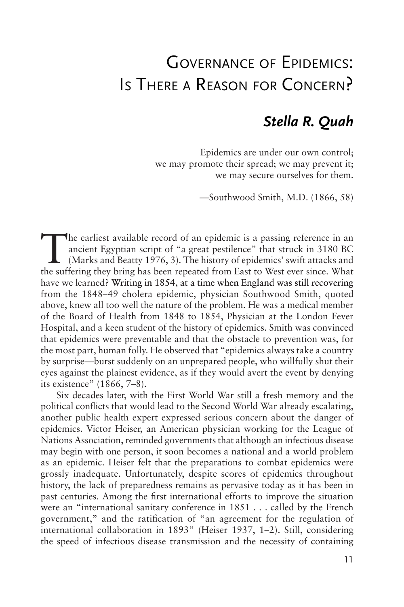## Governance of Epidemics: Is There <sup>a</sup> Reason for Concern?

### *Stella R. Quah*

Epidemics are under our own control; we may promote their spread; we may prevent it; we may secure ourselves for them.

—Southwood Smith, M.D. (1866, 58)

The earliest available record of an epidemic is a passing reference in an ancient Egyptian script of "a great pestilence" that struck in 3180 BC (Marks and Beatty 1976, 3). The history of epidemics' swift attacks and the a ancient Egyptian script of "a great pestilence" that struck in 3180 BC the suffering they bring has been repeated from East to West ever since. What have we learned? Writing in 1854, at a time when England was still recovering from the 1848–49 cholera epidemic, physician Southwood Smith, quoted above, knew all too well the nature of the problem. He was a medical member of the Board of Health from 1848 to 1854, Physician at the London Fever Hospital, and a keen student of the history of epidemics. Smith was convinced that epidemics were preventable and that the obstacle to prevention was, for the most part, human folly. He observed that "epidemics always take a country by surprise—burst suddenly on an unprepared people, who willfully shut their eyes against the plainest evidence, as if they would avert the event by denying its existence" (1866, 7–8).

Six decades later, with the First World War still a fresh memory and the political conflicts that would lead to the Second World War already escalating, another public health expert expressed serious concern about the danger of epidemics. Victor Heiser, an American physician working for the League of Nations Association, reminded governments that although an infectious disease may begin with one person, it soon becomes a national and a world problem as an epidemic. Heiser felt that the preparations to combat epidemics were grossly inadequate. Unfortunately, despite scores of epidemics throughout history, the lack of preparedness remains as pervasive today as it has been in past centuries. Among the first international efforts to improve the situation were an "international sanitary conference in 1851 . . . called by the French government," and the ratification of "an agreement for the regulation of international collaboration in 1893" (Heiser 1937, 1–2). Still, considering the speed of infectious disease transmission and the necessity of containing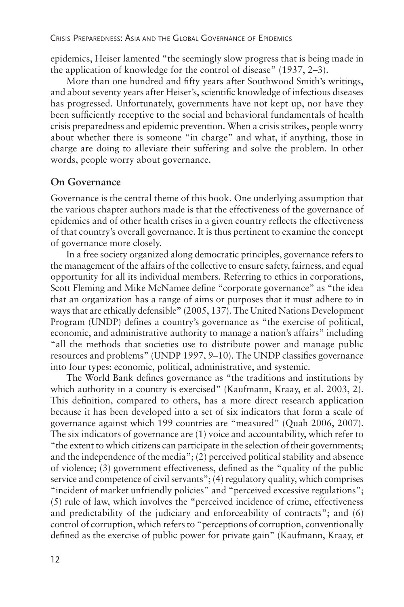epidemics, Heiser lamented "the seemingly slow progress that is being made in the application of knowledge for the control of disease" (1937, 2–3).

More than one hundred and fifty years after Southwood Smith's writings, and about seventy years after Heiser's, scientific knowledge of infectious diseases has progressed. Unfortunately, governments have not kept up, nor have they been sufficiently receptive to the social and behavioral fundamentals of health crisis preparedness and epidemic prevention. When a crisis strikes, people worry about whether there is someone "in charge" and what, if anything, those in charge are doing to alleviate their suffering and solve the problem. In other words, people worry about governance.

#### **On Governance**

Governance is the central theme of this book. One underlying assumption that the various chapter authors made is that the effectiveness of the governance of epidemics and of other health crises in a given country reflects the effectiveness of that country's overall governance. It is thus pertinent to examine the concept of governance more closely.

In a free society organized along democratic principles, governance refers to the management of the affairs of the collective to ensure safety, fairness, and equal opportunity for all its individual members. Referring to ethics in corporations, Scott Fleming and Mike McNamee define "corporate governance" as "the idea that an organization has a range of aims or purposes that it must adhere to in ways that are ethically defensible" (2005, 137). The United Nations Development Program (UNDP) defines a country's governance as "the exercise of political, economic, and administrative authority to manage a nation's affairs" including "all the methods that societies use to distribute power and manage public resources and problems" (UNDP 1997, 9–10). The UNDP classifies governance into four types: economic, political, administrative, and systemic.

The World Bank defines governance as "the traditions and institutions by which authority in a country is exercised" (Kaufmann, Kraay, et al. 2003, 2). This definition, compared to others, has a more direct research application because it has been developed into a set of six indicators that form a scale of governance against which 199 countries are "measured" (Quah 2006, 2007). The six indicators of governance are (1) voice and accountability, which refer to "the extent to which citizens can participate in the selection of their governments; and the independence of the media"; (2) perceived political stability and absence of violence; (3) government effectiveness, defined as the "quality of the public service and competence of civil servants"; (4) regulatory quality, which comprises "incident of market unfriendly policies" and "perceived excessive regulations"; (5) rule of law, which involves the "perceived incidence of crime, effectiveness and predictability of the judiciary and enforceability of contracts"; and (6) control of corruption, which refers to "perceptions of corruption, conventionally defined as the exercise of public power for private gain" (Kaufmann, Kraay, et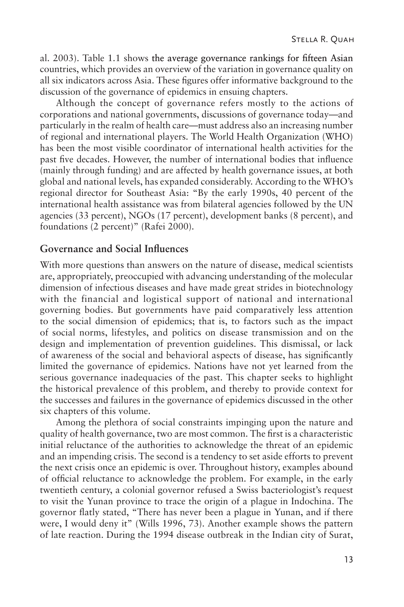al. 2003). Table 1.1 shows the average governance rankings for fifteen Asian countries, which provides an overview of the variation in governance quality on all six indicators across Asia. These figures offer informative background to the discussion of the governance of epidemics in ensuing chapters.

Although the concept of governance refers mostly to the actions of corporations and national governments, discussions of governance today—and particularly in the realm of health care—must address also an increasing number of regional and international players. The World Health Organization (WHO) has been the most visible coordinator of international health activities for the past five decades. However, the number of international bodies that influence (mainly through funding) and are affected by health governance issues, at both global and national levels, has expanded considerably. According to the WHO's regional director for Southeast Asia: "By the early 1990s, 40 percent of the international health assistance was from bilateral agencies followed by the UN agencies (33 percent), NGOs (17 percent), development banks (8 percent), and foundations (2 percent)" (Rafei 2000).

#### **Governance and Social Influences**

With more questions than answers on the nature of disease, medical scientists are, appropriately, preoccupied with advancing understanding of the molecular dimension of infectious diseases and have made great strides in biotechnology with the financial and logistical support of national and international governing bodies. But governments have paid comparatively less attention to the social dimension of epidemics; that is, to factors such as the impact of social norms, lifestyles, and politics on disease transmission and on the design and implementation of prevention guidelines. This dismissal, or lack of awareness of the social and behavioral aspects of disease, has significantly limited the governance of epidemics. Nations have not yet learned from the serious governance inadequacies of the past. This chapter seeks to highlight the historical prevalence of this problem, and thereby to provide context for the successes and failures in the governance of epidemics discussed in the other six chapters of this volume.

Among the plethora of social constraints impinging upon the nature and quality of health governance, two are most common. The first is a characteristic initial reluctance of the authorities to acknowledge the threat of an epidemic and an impending crisis. The second is a tendency to set aside efforts to prevent the next crisis once an epidemic is over. Throughout history, examples abound of official reluctance to acknowledge the problem. For example, in the early twentieth century, a colonial governor refused a Swiss bacteriologist's request to visit the Yunan province to trace the origin of a plague in Indochina. The governor flatly stated, "There has never been a plague in Yunan, and if there were, I would deny it" (Wills 1996, 73). Another example shows the pattern of late reaction. During the 1994 disease outbreak in the Indian city of Surat,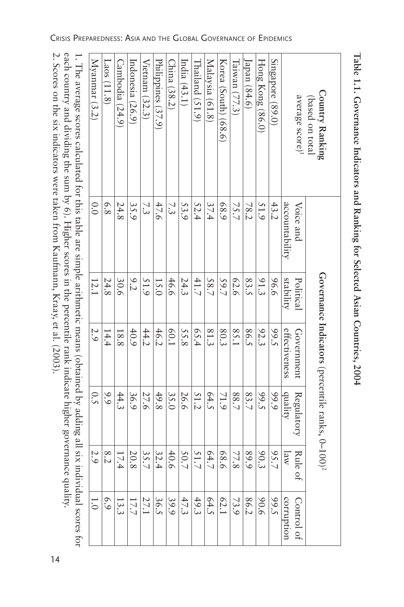2. Scores on the six indicators were taken from Kaufmann, Kraay, et al. (2003). 2. Scores on the six indicators were taken from Kaufmann, Kraay, et al. (2003).

each country and dividing the sum by 6). Higher scores in the percentile rank indicate higher governance quality. each country and dividing the sum by 6). Higher scores in the percentile rank indicate higher governance quality. 1. The average scores calculated for this table are simple arithmetic means (obtained by adding all six individual scores for 1. The average scores calculated for this table are simple arithmetic means (obtained by adding all six individual scores for

Crisis Preparedness: Asia and the Global Governance of Epidemics

| Country Ranking<br>(based on total |                |           | Governance Indicators (percentile ranks, 0-100) <sup>2</sup> |            |         |                  |
|------------------------------------|----------------|-----------|--------------------------------------------------------------|------------|---------|------------------|
| average score) <sup>1</sup>        | Voice and      | Political | Government                                                   | Regulatory | Rule of | Control of       |
|                                    | accountability | stability | effectiveness                                                | duality    | law     | corruption       |
| Singapore (89.0)                   | 43.2           | 96.6      | 99.5                                                         | 99.9       | 95.7    | 99.5             |
| Hong Kong (86.0)                   | 51.9           | 91.3      | 92.3                                                         | 99.5       | 90.3    | 9.06             |
| Japan $(84.6)$                     | 78.2           | 83.5      | 86.5                                                         | 83.7       | 89.9    | 86.2             |
| Taiwan (77.3)                      | 75.7           | 62.6      | 85.1                                                         | 88.7       | 77.8    | 73.9             |
| Korea (South) (68.6)               | 68.9           | 59.7      | 80.3                                                         | 71.9       | 98.6    | 62.1             |
| Malaysia (61.8)                    | 37.4           | 58.7      | 81.3                                                         | 64.5       | 64.7    | 64.5             |
| Thailand (51.9)                    | 52.4           | 41.7      | 65.4                                                         | 51.2       | 51.7    | 49.3             |
| India $(43.1)$                     | 53.9           | 24.3      | 55.8                                                         | 26.6       | 50.7    | 47.3             |
| China (38.2)                       | 7.3            | 46.6      | <b>60.1</b>                                                  | 35.0       | 40.6    | 39.9             |
| Philippines (37.9)                 | 47.6           | 15.0      | 46.2                                                         | 49.8       | 32.4    | 36.5             |
| Vietnam (32.3)                     | 7.3            | 51.9      | 44.2                                                         | 27.6       | 35.7    | 27.1             |
| Indonesia (26.9)                   | 35.9           | 9.2       | 40.9                                                         | 36.9       | 20.8    | 17.7             |
| Cambodia (24.9)                    | 24.8           | 30.6      | 18.8                                                         | 44.3       | 17.4    | 13.3             |
| Laos $(11.8)$                      | 6.8            | 24.8      | 14.4                                                         | 9.9        | 8.2     | 6.9              |
| Myanmar (3.2)                      | 0.0            | 12.1      | 2.9                                                          | 0.5        | 2.9     | $\overline{1.0}$ |

Table 1.1. Governance Indicators and Ranking for Selected Asian Countries, 2004 **Table 1.1. Governance Indicators and Ranking for Selected Asian Countries, 2004**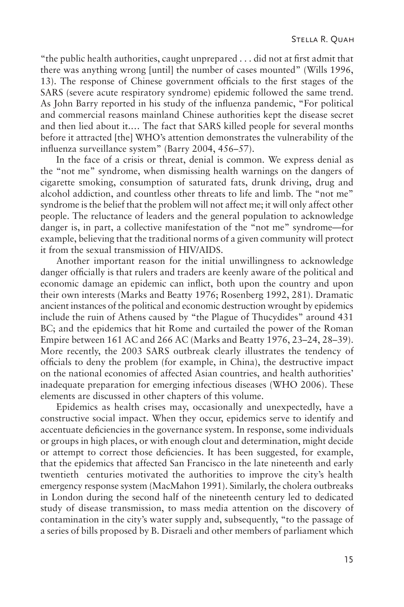"the public health authorities, caught unprepared . . . did not at first admit that there was anything wrong [until] the number of cases mounted" (Wills 1996, 13). The response of Chinese government officials to the first stages of the SARS (severe acute respiratory syndrome) epidemic followed the same trend. As John Barry reported in his study of the influenza pandemic, "For political and commercial reasons mainland Chinese authorities kept the disease secret and then lied about it.… The fact that SARS killed people for several months before it attracted [the] WHO's attention demonstrates the vulnerability of the influenza surveillance system" (Barry 2004, 456–57).

In the face of a crisis or threat, denial is common. We express denial as the "not me" syndrome, when dismissing health warnings on the dangers of cigarette smoking, consumption of saturated fats, drunk driving, drug and alcohol addiction, and countless other threats to life and limb. The "not me" syndrome is the belief that the problem will not affect me; it will only affect other people. The reluctance of leaders and the general population to acknowledge danger is, in part, a collective manifestation of the "not me" syndrome—for example, believing that the traditional norms of a given community will protect it from the sexual transmission of HIV/AIDS.

Another important reason for the initial unwillingness to acknowledge danger officially is that rulers and traders are keenly aware of the political and economic damage an epidemic can inflict, both upon the country and upon their own interests (Marks and Beatty 1976; Rosenberg 1992, 281). Dramatic ancient instances of the political and economic destruction wrought by epidemics include the ruin of Athens caused by "the Plague of Thucydides" around 431 BC; and the epidemics that hit Rome and curtailed the power of the Roman Empire between 161 AC and 266 AC (Marks and Beatty 1976, 23–24, 28–39). More recently, the 2003 SARS outbreak clearly illustrates the tendency of officials to deny the problem (for example, in China), the destructive impact on the national economies of affected Asian countries, and health authorities' inadequate preparation for emerging infectious diseases (WHO 2006). These elements are discussed in other chapters of this volume.

Epidemics as health crises may, occasionally and unexpectedly, have a constructive social impact. When they occur, epidemics serve to identify and accentuate deficiencies in the governance system. In response, some individuals or groups in high places, or with enough clout and determination, might decide or attempt to correct those deficiencies. It has been suggested, for example, that the epidemics that affected San Francisco in the late nineteenth and early twentieth centuries motivated the authorities to improve the city's health emergency response system (MacMahon 1991). Similarly, the cholera outbreaks in London during the second half of the nineteenth century led to dedicated study of disease transmission, to mass media attention on the discovery of contamination in the city's water supply and, subsequently, "to the passage of a series of bills proposed by B. Disraeli and other members of parliament which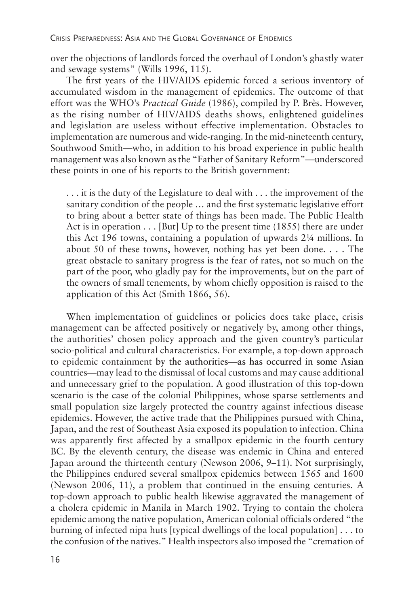over the objections of landlords forced the overhaul of London's ghastly water and sewage systems" (Wills 1996, 115).

The first years of the HIV/AIDS epidemic forced a serious inventory of accumulated wisdom in the management of epidemics. The outcome of that effort was the WHO's *Practical Guide* (1986), compiled by P. Brès. However, as the rising number of HIV/AIDS deaths shows, enlightened guidelines and legislation are useless without effective implementation. Obstacles to implementation are numerous and wide-ranging. In the mid-nineteenth century, Southwood Smith—who, in addition to his broad experience in public health management was also known as the "Father of Sanitary Reform"—underscored these points in one of his reports to the British government:

. . . it is the duty of the Legislature to deal with . . . the improvement of the sanitary condition of the people … and the first systematic legislative effort to bring about a better state of things has been made. The Public Health Act is in operation . . . [But] Up to the present time (1855) there are under this Act 196 towns, containing a population of upwards 2¼ millions. In about 50 of these towns, however, nothing has yet been done. . . . The great obstacle to sanitary progress is the fear of rates, not so much on the part of the poor, who gladly pay for the improvements, but on the part of the owners of small tenements, by whom chiefly opposition is raised to the application of this Act (Smith 1866, 56).

When implementation of guidelines or policies does take place, crisis management can be affected positively or negatively by, among other things, the authorities' chosen policy approach and the given country's particular socio-political and cultural characteristics. For example, a top-down approach to epidemic containment by the authorities—as has occurred in some Asian countries—may lead to the dismissal of local customs and may cause additional and unnecessary grief to the population. A good illustration of this top-down scenario is the case of the colonial Philippines, whose sparse settlements and small population size largely protected the country against infectious disease epidemics. However, the active trade that the Philippines pursued with China, Japan, and the rest of Southeast Asia exposed its population to infection. China was apparently first affected by a smallpox epidemic in the fourth century BC. By the eleventh century, the disease was endemic in China and entered Japan around the thirteenth century (Newson 2006, 9–11). Not surprisingly, the Philippines endured several smallpox epidemics between 1565 and 1600 (Newson 2006, 11), a problem that continued in the ensuing centuries. A top-down approach to public health likewise aggravated the management of a cholera epidemic in Manila in March 1902. Trying to contain the cholera epidemic among the native population, American colonial officials ordered "the burning of infected nipa huts [typical dwellings of the local population] . . . to the confusion of the natives." Health inspectors also imposed the "cremation of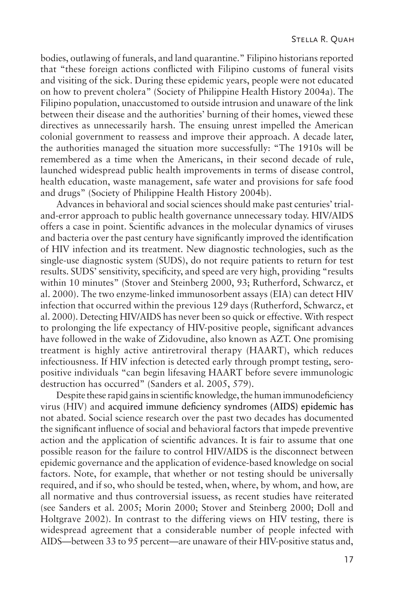bodies, outlawing of funerals, and land quarantine." Filipino historians reported that "these foreign actions conflicted with Filipino customs of funeral visits and visiting of the sick. During these epidemic years, people were not educated on how to prevent cholera" (Society of Philippine Health History 2004a). The Filipino population, unaccustomed to outside intrusion and unaware of the link between their disease and the authorities' burning of their homes, viewed these directives as unnecessarily harsh. The ensuing unrest impelled the American colonial government to reassess and improve their approach. A decade later, the authorities managed the situation more successfully: "The 1910s will be remembered as a time when the Americans, in their second decade of rule, launched widespread public health improvements in terms of disease control, health education, waste management, safe water and provisions for safe food and drugs" (Society of Philippine Health History 2004b).

Advances in behavioral and social sciences should make past centuries' trialand-error approach to public health governance unnecessary today. HIV/AIDS offers a case in point. Scientific advances in the molecular dynamics of viruses and bacteria over the past century have significantly improved the identification of HIV infection and its treatment. New diagnostic technologies, such as the single-use diagnostic system (SUDS), do not require patients to return for test results. SUDS' sensitivity, specificity, and speed are very high, providing "results within 10 minutes" (Stover and Steinberg 2000, 93; Rutherford, Schwarcz, et al. 2000). The two enzyme-linked immunosorbent assays (EIA) can detect HIV infection that occurred within the previous 129 days (Rutherford, Schwarcz, et al. 2000). Detecting HIV/AIDS has never been so quick or effective. With respect to prolonging the life expectancy of HIV-positive people, significant advances have followed in the wake of Zidovudine, also known as AZT. One promising treatment is highly active antiretroviral therapy (HAART), which reduces infectiousness. If HIV infection is detected early through prompt testing, seropositive individuals "can begin lifesaving HAART before severe immunologic destruction has occurred" (Sanders et al. 2005, 579).

Despite these rapid gains in scientific knowledge, the human immunodeficiency virus (HIV) and acquired immune deficiency syndromes (AIDS) epidemic has not abated. Social science research over the past two decades has documented the significant influence of social and behavioral factors that impede preventive action and the application of scientific advances. It is fair to assume that one possible reason for the failure to control HIV/AIDS is the disconnect between epidemic governance and the application of evidence-based knowledge on social factors. Note, for example, that whether or not testing should be universally required, and if so, who should be tested, when, where, by whom, and how, are all normative and thus controversial issuess, as recent studies have reiterated (see Sanders et al. 2005; Morin 2000; Stover and Steinberg 2000; Doll and Holtgrave 2002). In contrast to the differing views on HIV testing, there is widespread agreement that a considerable number of people infected with AIDS—between 33 to 95 percent—are unaware of their HIV-positive status and,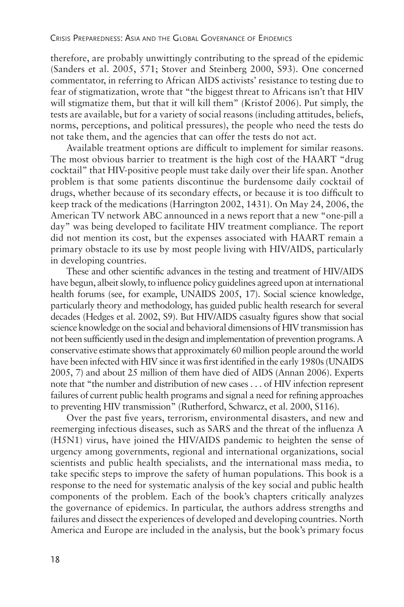therefore, are probably unwittingly contributing to the spread of the epidemic (Sanders et al. 2005, 571; Stover and Steinberg 2000, S93). One concerned commentator, in referring to African AIDS activists' resistance to testing due to fear of stigmatization, wrote that "the biggest threat to Africans isn't that HIV will stigmatize them, but that it will kill them" (Kristof 2006). Put simply, the tests are available, but for a variety of social reasons (including attitudes, beliefs, norms, perceptions, and political pressures), the people who need the tests do not take them, and the agencies that can offer the tests do not act.

Available treatment options are difficult to implement for similar reasons. The most obvious barrier to treatment is the high cost of the HAART "drug cocktail" that HIV-positive people must take daily over their life span. Another problem is that some patients discontinue the burdensome daily cocktail of drugs, whether because of its secondary effects, or because it is too difficult to keep track of the medications (Harrington 2002, 1431). On May 24, 2006, the American TV network ABC announced in a news report that a new "one-pill a day" was being developed to facilitate HIV treatment compliance. The report did not mention its cost, but the expenses associated with HAART remain a primary obstacle to its use by most people living with HIV/AIDS, particularly in developing countries.

These and other scientific advances in the testing and treatment of HIV/AIDS have begun, albeit slowly, to influence policy guidelines agreed upon at international health forums (see, for example, UNAIDS 2005, 17). Social science knowledge, particularly theory and methodology, has guided public health research for several decades (Hedges et al. 2002, S9). But HIV/AIDS casualty figures show that social science knowledge on the social and behavioral dimensions of HIV transmission has not been sufficiently used in the design and implementation of prevention programs. A conservative estimate shows that approximately 60 million people around the world have been infected with HIV since it was first identified in the early 1980s (UNAIDS 2005, 7) and about 25 million of them have died of AIDS (Annan 2006). Experts note that "the number and distribution of new cases . . . of HIV infection represent failures of current public health programs and signal a need for refining approaches to preventing HIV transmission" (Rutherford, Schwarcz, et al. 2000, S116).

Over the past five years, terrorism, environmental disasters, and new and reemerging infectious diseases, such as SARS and the threat of the influenza A (H5N1) virus, have joined the HIV/AIDS pandemic to heighten the sense of urgency among governments, regional and international organizations, social scientists and public health specialists, and the international mass media, to take specific steps to improve the safety of human populations. This book is a response to the need for systematic analysis of the key social and public health components of the problem. Each of the book's chapters critically analyzes the governance of epidemics. In particular, the authors address strengths and failures and dissect the experiences of developed and developing countries. North America and Europe are included in the analysis, but the book's primary focus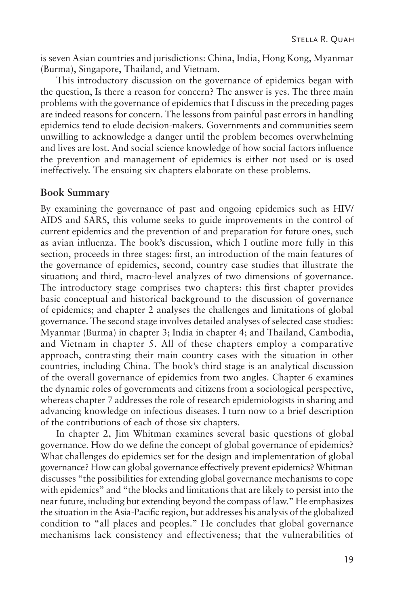is seven Asian countries and jurisdictions: China, India, Hong Kong, Myanmar (Burma), Singapore, Thailand, and Vietnam.

This introductory discussion on the governance of epidemics began with the question, Is there a reason for concern? The answer is yes. The three main problems with the governance of epidemics that I discuss in the preceding pages are indeed reasons for concern. The lessons from painful past errors in handling epidemics tend to elude decision-makers. Governments and communities seem unwilling to acknowledge a danger until the problem becomes overwhelming and lives are lost. And social science knowledge of how social factors influence the prevention and management of epidemics is either not used or is used ineffectively. The ensuing six chapters elaborate on these problems.

#### **Book Summary**

By examining the governance of past and ongoing epidemics such as HIV/ AIDS and SARS, this volume seeks to guide improvements in the control of current epidemics and the prevention of and preparation for future ones, such as avian influenza. The book's discussion, which I outline more fully in this section, proceeds in three stages: first, an introduction of the main features of the governance of epidemics, second, country case studies that illustrate the situation; and third, macro-level analyzes of two dimensions of governance. The introductory stage comprises two chapters: this first chapter provides basic conceptual and historical background to the discussion of governance of epidemics; and chapter 2 analyses the challenges and limitations of global governance. The second stage involves detailed analyses of selected case studies: Myanmar (Burma) in chapter 3; India in chapter 4; and Thailand, Cambodia, and Vietnam in chapter 5. All of these chapters employ a comparative approach, contrasting their main country cases with the situation in other countries, including China. The book's third stage is an analytical discussion of the overall governance of epidemics from two angles. Chapter 6 examines the dynamic roles of governments and citizens from a sociological perspective, whereas chapter 7 addresses the role of research epidemiologists in sharing and advancing knowledge on infectious diseases. I turn now to a brief description of the contributions of each of those six chapters.

In chapter 2, Jim Whitman examines several basic questions of global governance. How do we define the concept of global governance of epidemics? What challenges do epidemics set for the design and implementation of global governance? How can global governance effectively prevent epidemics? Whitman discusses "the possibilities for extending global governance mechanisms to cope with epidemics" and "the blocks and limitations that are likely to persist into the near future, including but extending beyond the compass of law." He emphasizes the situation in the Asia-Pacific region, but addresses his analysis of the globalized condition to "all places and peoples." He concludes that global governance mechanisms lack consistency and effectiveness; that the vulnerabilities of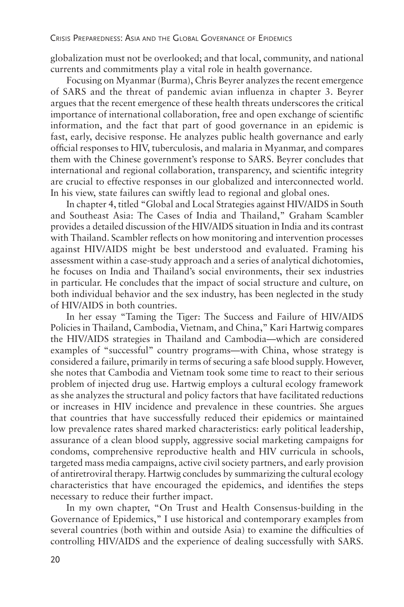globalization must not be overlooked; and that local, community, and national currents and commitments play a vital role in health governance.

Focusing on Myanmar (Burma), Chris Beyrer analyzes the recent emergence of SARS and the threat of pandemic avian influenza in chapter 3. Beyrer argues that the recent emergence of these health threats underscores the critical importance of international collaboration, free and open exchange of scientific information, and the fact that part of good governance in an epidemic is fast, early, decisive response. He analyzes public health governance and early official responses to HIV, tuberculosis, and malaria in Myanmar, and compares them with the Chinese government's response to SARS. Beyrer concludes that international and regional collaboration, transparency, and scientific integrity are crucial to effective responses in our globalized and interconnected world. In his view, state failures can swiftly lead to regional and global ones.

In chapter 4, titled "Global and Local Strategies against HIV/AIDS in South and Southeast Asia: The Cases of India and Thailand," Graham Scambler provides a detailed discussion of the HIV/AIDS situation in India and its contrast with Thailand. Scambler reflects on how monitoring and intervention processes against HIV/AIDS might be best understood and evaluated. Framing his assessment within a case-study approach and a series of analytical dichotomies, he focuses on India and Thailand's social environments, their sex industries in particular. He concludes that the impact of social structure and culture, on both individual behavior and the sex industry, has been neglected in the study of HIV/AIDS in both countries.

In her essay "Taming the Tiger: The Success and Failure of HIV/AIDS Policies in Thailand, Cambodia, Vietnam, and China," Kari Hartwig compares the HIV/AIDS strategies in Thailand and Cambodia—which are considered examples of "successful" country programs—with China, whose strategy is considered a failure, primarily in terms of securing a safe blood supply. However, she notes that Cambodia and Vietnam took some time to react to their serious problem of injected drug use. Hartwig employs a cultural ecology framework as she analyzes the structural and policy factors that have facilitated reductions or increases in HIV incidence and prevalence in these countries. She argues that countries that have successfully reduced their epidemics or maintained low prevalence rates shared marked characteristics: early political leadership, assurance of a clean blood supply, aggressive social marketing campaigns for condoms, comprehensive reproductive health and HIV curricula in schools, targeted mass media campaigns, active civil society partners, and early provision of antiretroviral therapy. Hartwig concludes by summarizing the cultural ecology characteristics that have encouraged the epidemics, and identifies the steps necessary to reduce their further impact.

In my own chapter, "On Trust and Health Consensus-building in the Governance of Epidemics," I use historical and contemporary examples from several countries (both within and outside Asia) to examine the difficulties of controlling HIV/AIDS and the experience of dealing successfully with SARS.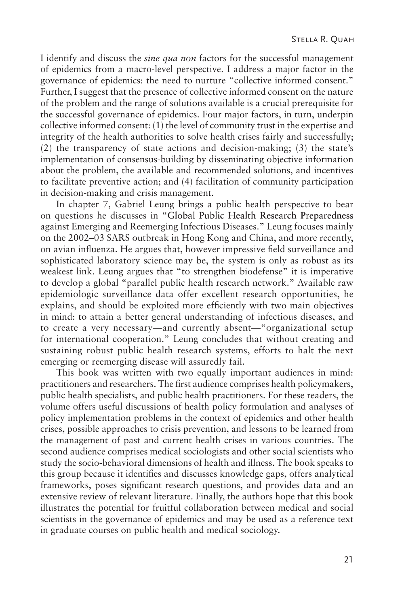I identify and discuss the *sine qua non* factors for the successful management of epidemics from a macro-level perspective. I address a major factor in the governance of epidemics: the need to nurture "collective informed consent." Further, I suggest that the presence of collective informed consent on the nature of the problem and the range of solutions available is a crucial prerequisite for the successful governance of epidemics. Four major factors, in turn, underpin collective informed consent: (1) the level of community trust in the expertise and integrity of the health authorities to solve health crises fairly and successfully; (2) the transparency of state actions and decision-making; (3) the state's implementation of consensus-building by disseminating objective information about the problem, the available and recommended solutions, and incentives to facilitate preventive action; and (4) facilitation of community participation in decision-making and crisis management.

In chapter 7, Gabriel Leung brings a public health perspective to bear on questions he discusses in "Global Public Health Research Preparedness against Emerging and Reemerging Infectious Diseases." Leung focuses mainly on the 2002–03 SARS outbreak in Hong Kong and China, and more recently, on avian influenza. He argues that, however impressive field surveillance and sophisticated laboratory science may be, the system is only as robust as its weakest link. Leung argues that "to strengthen biodefense" it is imperative to develop a global "parallel public health research network." Available raw epidemiologic surveillance data offer excellent research opportunities, he explains, and should be exploited more efficiently with two main objectives in mind: to attain a better general understanding of infectious diseases, and to create a very necessary—and currently absent—"organizational setup for international cooperation." Leung concludes that without creating and sustaining robust public health research systems, efforts to halt the next emerging or reemerging disease will assuredly fail.

This book was written with two equally important audiences in mind: practitioners and researchers. The first audience comprises health policymakers, public health specialists, and public health practitioners. For these readers, the volume offers useful discussions of health policy formulation and analyses of policy implementation problems in the context of epidemics and other health crises, possible approaches to crisis prevention, and lessons to be learned from the management of past and current health crises in various countries. The second audience comprises medical sociologists and other social scientists who study the socio-behavioral dimensions of health and illness. The book speaks to this group because it identifies and discusses knowledge gaps, offers analytical frameworks, poses significant research questions, and provides data and an extensive review of relevant literature. Finally, the authors hope that this book illustrates the potential for fruitful collaboration between medical and social scientists in the governance of epidemics and may be used as a reference text in graduate courses on public health and medical sociology.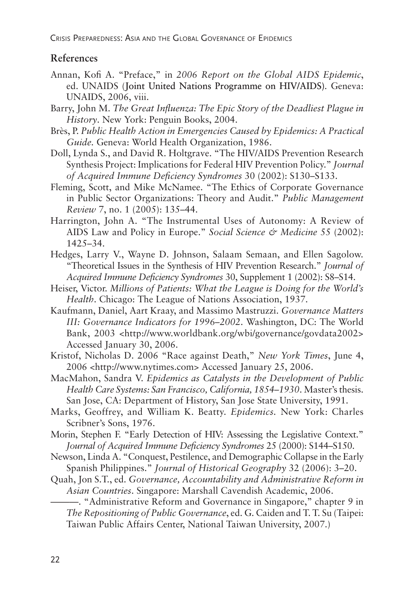Crisis Preparedness: Asia and the Global Governance of Epidemics

#### **References**

- Annan, Kofi A. "Preface," in *2006 Report on the Global AIDS Epidemic*, ed. UNAIDS (Joint United Nations Programme on HIV/AIDS)*.* Geneva: UNAIDS, 2006, viii.
- Barry, John M. *The Great Influenza: The Epic Story of the Deadliest Plague in History*. New York: Penguin Books, 2004.
- Brès, P. *Public Health Action in Emergencies Caused by Epidemics: A Practical Guide.* Geneva: World Health Organization, 1986.
- Doll, Lynda S., and David R. Holtgrave. "The HIV/AIDS Prevention Research Synthesis Project: Implications for Federal HIV Prevention Policy." *Journal of Acquired Immune Deficiency Syndromes* 30 (2002): S130–S133.
- Fleming, Scott, and Mike McNamee. "The Ethics of Corporate Governance in Public Sector Organizations: Theory and Audit." *Public Management Review* 7, no. 1 (2005): 135–44.
- Harrington, John A. "The Instrumental Uses of Autonomy: A Review of AIDS Law and Policy in Europe." *Social Science & Medicine* 55 (2002): 1425–34.
- Hedges, Larry V., Wayne D. Johnson, Salaam Semaan, and Ellen Sagolow. "Theoretical Issues in the Synthesis of HIV Prevention Research." *Journal of Acquired Immune Deficiency Syndromes* 30, Supplement 1 (2002): S8–S14.
- Heiser, Victor. *Millions of Patients: What the League is Doing for the World's Health*. Chicago: The League of Nations Association, 1937.
- Kaufmann, Daniel, Aart Kraay, and Massimo Mastruzzi. *Governance Matters III: Governance Indicators for 1996–2002*. Washington, DC: The World Bank, 2003 <http://www.worldbank.org/wbi/governance/govdata2002> Accessed January 30, 2006.
- Kristof, Nicholas D. 2006 "Race against Death," *New York Times*, June 4, 2006 <http://www.nytimes.com> Accessed January 25, 2006.
- MacMahon, Sandra V. *Epidemics as Catalysts in the Development of Public Health Care Systems: San Francisco, California, 1854–1930*. Master's thesis. San Jose, CA: Department of History, San Jose State University, 1991.
- Marks, Geoffrey, and William K. Beatty. *Epidemics.* New York: Charles Scribner's Sons, 1976.
- Morin, Stephen F. "Early Detection of HIV: Assessing the Legislative Context." *Journal of Acquired Immune Deficiency Syndromes* 25 (2000): S144–S150.
- Newson, Linda A. "Conquest, Pestilence, and Demographic Collapse in the Early Spanish Philippines." *Journal of Historical Geography* 32 (2006): 3–20.
- Quah, Jon S.T., ed. *Governance, Accountability and Administrative Reform in Asian Countries*. Singapore: Marshall Cavendish Academic, 2006.

———. "Administrative Reform and Governance in Singapore," chapter 9 in *The Repositioning of Public Governance*, ed. G. Caiden and T. T. Su (Taipei: Taiwan Public Affairs Center, National Taiwan University, 2007.)